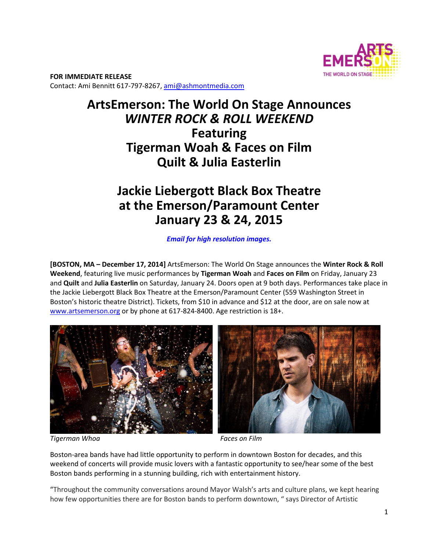

**FOR IMMEDIATE RELEASE**  Contact: Ami Bennitt 617‐797‐8267, ami@ashmontmedia.com

# **ArtsEmerson: The World On Stage Announces**  *WINTER ROCK & ROLL WEEKEND* **Featuring Tigerman Woah & Faces on Film Quilt & Julia Easterlin**

## **Jackie Liebergott Black Box Theatre at the Emerson/Paramount Center January 23 & 24, 2015**

*Email for high resolution images.*

**[BOSTON, MA – December 17, 2014]** ArtsEmerson: The World On Stage announces the **Winter Rock & Roll Weekend**, featuring live music performances by **Tigerman Woah** and **Faces on Film** on Friday, January 23 and **Quilt** and **Julia Easterlin** on Saturday, January 24. Doors open at 9 both days. Performances take place in the Jackie Liebergott Black Box Theatre at the Emerson/Paramount Center (559 Washington Street in Boston's historic theatre District). Tickets, from \$10 in advance and \$12 at the door, are on sale now at www.artsemerson.org or by phone at 617‐824‐8400. Age restriction is 18+.





**Tigerman Whoa** Faces on Film

Boston‐area bands have had little opportunity to perform in downtown Boston for decades, and this weekend of concerts will provide music lovers with a fantastic opportunity to see/hear some of the best Boston bands performing in a stunning building, rich with entertainment history.

"Throughout the community conversations around Mayor Walsh's arts and culture plans, we kept hearing how few opportunities there are for Boston bands to perform downtown, " says Director of Artistic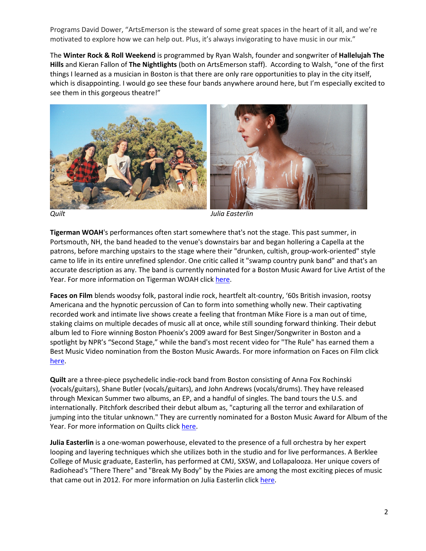Programs David Dower, "ArtsEmerson is the steward of some great spaces in the heart of it all, and we're motivated to explore how we can help out. Plus, it's always invigorating to have music in our mix."

The **Winter Rock & Roll Weekend** is programmed by Ryan Walsh, founder and songwriter of **Hallelujah The Hills** and Kieran Fallon of **The Nightlights** (both on ArtsEmerson staff). According to Walsh, "one of the first things I learned as a musician in Boston is that there are only rare opportunities to play in the city itself, which is disappointing. I would go see these four bands anywhere around here, but I'm especially excited to see them in this gorgeous theatre!"



*Quilt Julia Easterlin* 

**Tigerman WOAH**'s performances often start somewhere that's not the stage. This past summer, in Portsmouth, NH, the band headed to the venue's downstairs bar and began hollering a Capella at the patrons, before marching upstairs to the stage where their "drunken, cultish, group‐work‐oriented" style came to life in its entire unrefined splendor. One critic called it "swamp country punk band" and that's an accurate description as any. The band is currently nominated for a Boston Music Award for Live Artist of the Year. For more information on Tigerman WOAH click here.

**Faces on Film** blends woodsy folk, pastoral indie rock, heartfelt alt‐country, '60s British invasion, rootsy Americana and the hypnotic percussion of Can to form into something wholly new. Their captivating recorded work and intimate live shows create a feeling that frontman Mike Fiore is a man out of time, staking claims on multiple decades of music all at once, while still sounding forward thinking. Their debut album led to Fiore winning Boston Phoenix's 2009 award for Best Singer/Songwriter in Boston and a spotlight by NPR's "Second Stage," while the band's most recent video for "The Rule" has earned them a Best Music Video nomination from the Boston Music Awards. For more information on Faces on Film click here.

**Quilt** are a three‐piece psychedelic indie‐rock band from Boston consisting of Anna Fox Rochinski (vocals/guitars), Shane Butler (vocals/guitars), and John Andrews (vocals/drums). They have released through Mexican Summer two albums, an EP, and a handful of singles. The band tours the U.S. and internationally. Pitchfork described their debut album as, "capturing all the terror and exhilaration of jumping into the titular unknown." They are currently nominated for a Boston Music Award for Album of the Year. For more information on Quilts click here.

**Julia Easterlin** is a one‐woman powerhouse, elevated to the presence of a full orchestra by her expert looping and layering techniques which she utilizes both in the studio and for live performances. A Berklee College of Music graduate, Easterlin, has performed at CMJ, SXSW, and Lollapalooza. Her unique covers of Radiohead's "There There" and "Break My Body" by the Pixies are among the most exciting pieces of music that came out in 2012. For more information on Julia Easterlin click here.